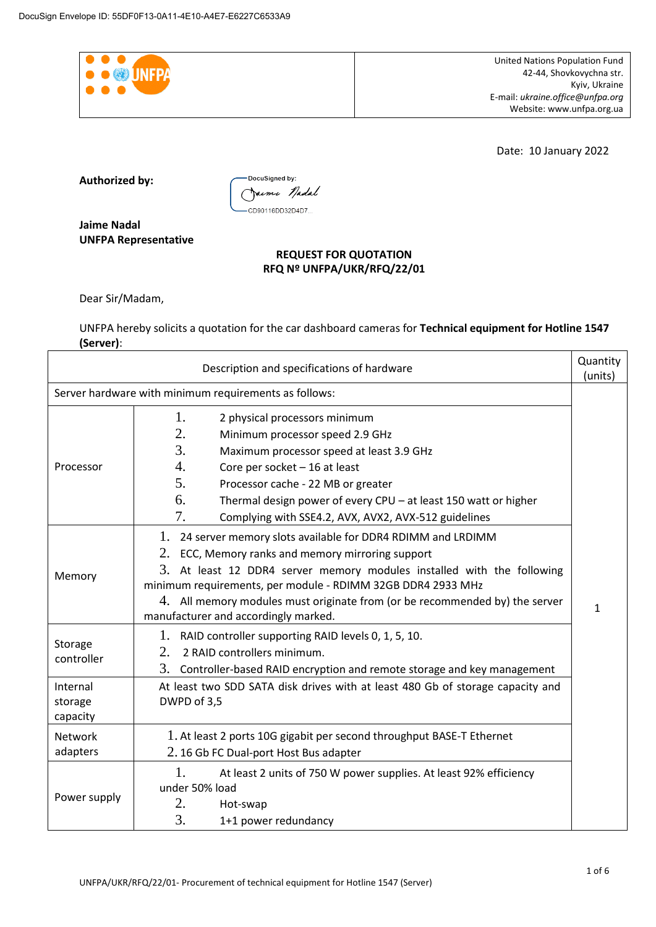

Date: 10 January 2022

**Authorized by:** 



**Jaime Nadal UNFPA Representative** 

# **REQUEST FOR QUOTATION RFQ Nº UNFPA/UKR/RFQ/22/01**

Dear Sir/Madam,

UNFPA hereby solicits a quotation for the car dashboard cameras for **Technical equipment for Hotline 1547 (Server)**:

|                                 | Description and specifications of hardware                                                                                                                                                                                                                                                                                                                                         | Quantity<br>(units) |  |
|---------------------------------|------------------------------------------------------------------------------------------------------------------------------------------------------------------------------------------------------------------------------------------------------------------------------------------------------------------------------------------------------------------------------------|---------------------|--|
|                                 | Server hardware with minimum requirements as follows:                                                                                                                                                                                                                                                                                                                              |                     |  |
| Processor                       | 1.<br>2 physical processors minimum<br>2.<br>Minimum processor speed 2.9 GHz<br>3.<br>Maximum processor speed at least 3.9 GHz<br>4.<br>Core per socket $-16$ at least<br>5.                                                                                                                                                                                                       |                     |  |
|                                 | Processor cache - 22 MB or greater<br>6.<br>Thermal design power of every CPU - at least 150 watt or higher<br>7.<br>Complying with SSE4.2, AVX, AVX2, AVX-512 guidelines                                                                                                                                                                                                          |                     |  |
| Memory                          | 1. 24 server memory slots available for DDR4 RDIMM and LRDIMM<br>2. ECC, Memory ranks and memory mirroring support<br>3. At least 12 DDR4 server memory modules installed with the following<br>minimum requirements, per module - RDIMM 32GB DDR4 2933 MHz<br>4. All memory modules must originate from (or be recommended by) the server<br>manufacturer and accordingly marked. |                     |  |
| Storage<br>controller           | 1. RAID controller supporting RAID levels 0, 1, 5, 10.<br>2.<br>2 RAID controllers minimum.<br>3. Controller-based RAID encryption and remote storage and key management                                                                                                                                                                                                           |                     |  |
| Internal<br>storage<br>capacity | At least two SDD SATA disk drives with at least 480 Gb of storage capacity and<br>DWPD of 3,5                                                                                                                                                                                                                                                                                      |                     |  |
| <b>Network</b><br>adapters      | 1. At least 2 ports 10G gigabit per second throughput BASE-T Ethernet<br>2.16 Gb FC Dual-port Host Bus adapter                                                                                                                                                                                                                                                                     |                     |  |
| Power supply                    | 1.<br>At least 2 units of 750 W power supplies. At least 92% efficiency<br>under 50% load<br>2.<br>Hot-swap<br>3.<br>1+1 power redundancy                                                                                                                                                                                                                                          |                     |  |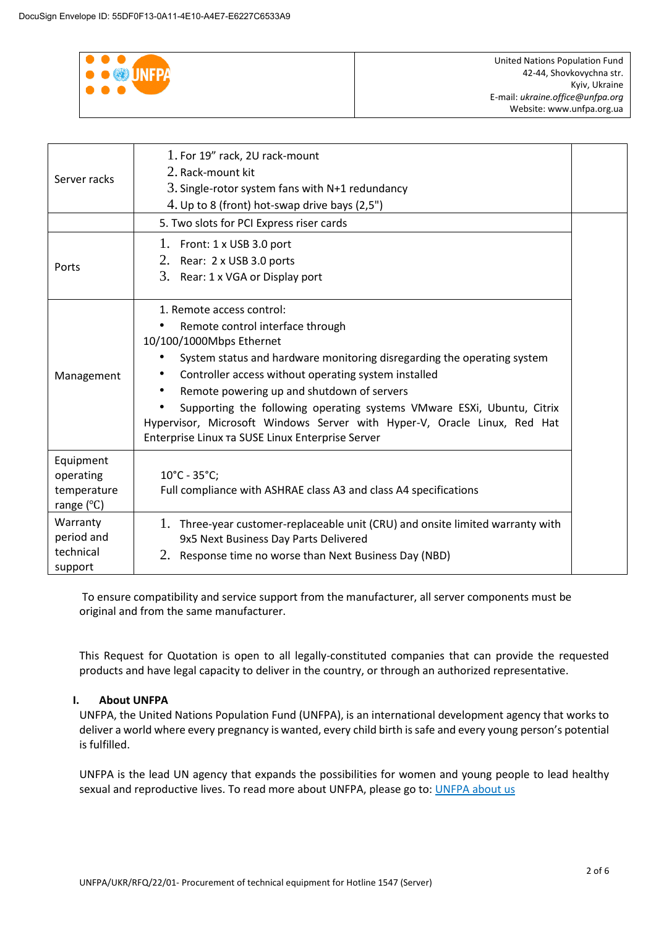

| Server racks                                                 | 1. For 19" rack, 2U rack-mount<br>2. Rack-mount kit<br>3. Single-rotor system fans with $N+1$ redundancy<br>4. Up to 8 (front) hot-swap drive bays $(2,5")$<br>5. Two slots for PCI Express riser cards                                                                                                                                                                                                                                                                              |  |
|--------------------------------------------------------------|--------------------------------------------------------------------------------------------------------------------------------------------------------------------------------------------------------------------------------------------------------------------------------------------------------------------------------------------------------------------------------------------------------------------------------------------------------------------------------------|--|
| Ports                                                        | 1. Front: $1 \times$ USB 3.0 port<br>2. Rear: 2 x USB 3.0 ports<br>3. Rear: 1 x VGA or Display port                                                                                                                                                                                                                                                                                                                                                                                  |  |
| Management                                                   | 1. Remote access control:<br>Remote control interface through<br>10/100/1000Mbps Ethernet<br>System status and hardware monitoring disregarding the operating system<br>Controller access without operating system installed<br>Remote powering up and shutdown of servers<br>Supporting the following operating systems VMware ESXi, Ubuntu, Citrix<br>Hypervisor, Microsoft Windows Server with Hyper-V, Oracle Linux, Red Hat<br>Enterprise Linux Ta SUSE Linux Enterprise Server |  |
| Equipment<br>operating<br>temperature<br>range $(^{\circ}C)$ | $10^{\circ}$ C - 35 $^{\circ}$ C;<br>Full compliance with ASHRAE class A3 and class A4 specifications                                                                                                                                                                                                                                                                                                                                                                                |  |
| Warranty<br>period and<br>technical<br>support               | 1. Three-year customer-replaceable unit (CRU) and onsite limited warranty with<br>9x5 Next Business Day Parts Delivered<br>Response time no worse than Next Business Day (NBD)<br>2.                                                                                                                                                                                                                                                                                                 |  |

To ensure compatibility and service support from the manufacturer, all server components must be original and from the same manufacturer.

This Request for Quotation is open to all legally-constituted companies that can provide the requested products and have legal capacity to deliver in the country, or through an authorized representative.

## **I. About UNFPA**

UNFPA, the United Nations Population Fund (UNFPA), is an international development agency that works to deliver a world where every pregnancy is wanted, every child birth is safe and every young person's potential is fulfilled.

UNFPA is the lead UN agency that expands the possibilities for women and young people to lead healthy sexual and reproductive lives. To read more about UNFPA, please go to: [UNFPA about us](http://www.unfpa.org/about-us)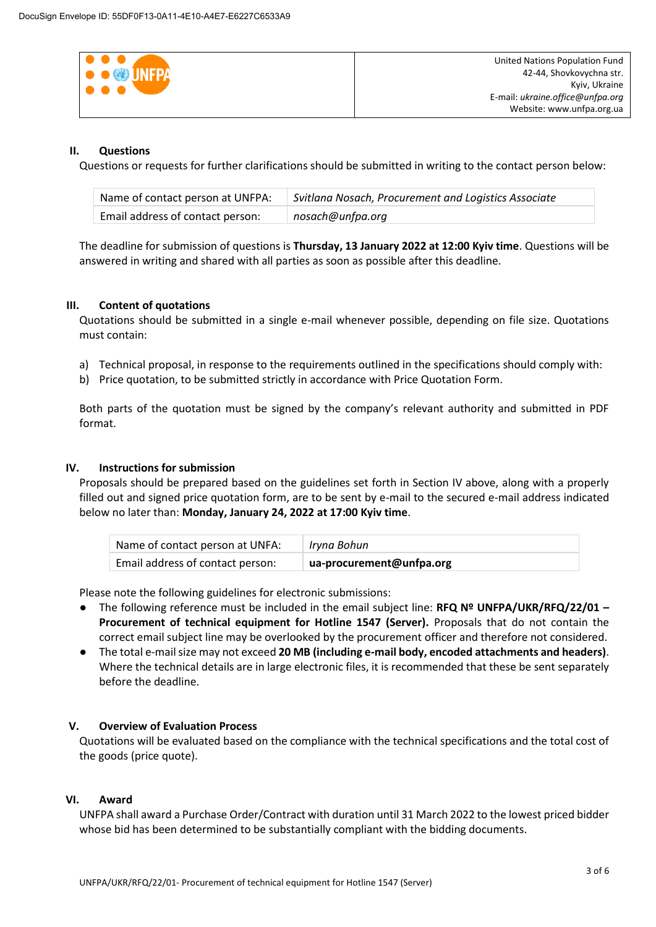| $\bullet\bullet\bullet$   | United Nations Population Fund   |
|---------------------------|----------------------------------|
| <b>O O W</b> UNFPA        | 42-44, Shovkovychna str.         |
| $\bullet \bullet \bullet$ | Kyiv, Ukraine                    |
|                           | E-mail: ukraine.office@unfpa.org |
|                           | Website: www.unfpa.org.ua        |

# **II. Questions**

Questions or requests for further clarifications should be submitted in writing to the contact person below:

| Name of contact person at UNFPA: | Svitlana Nosach, Procurement and Logistics Associate |
|----------------------------------|------------------------------------------------------|
| Email address of contact person: | nosach@unfpa.org                                     |

The deadline for submission of questions is **Thursday, 13 January 2022 at 12:00 Kyiv time**. Questions will be answered in writing and shared with all parties as soon as possible after this deadline.

## **III. Content of quotations**

Quotations should be submitted in a single e-mail whenever possible, depending on file size. Quotations must contain:

- a) Technical proposal, in response to the requirements outlined in the specifications should comply with:
- b) Price quotation, to be submitted strictly in accordance with Price Quotation Form.

Both parts of the quotation must be signed by the company's relevant authority and submitted in PDF format.

# **IV. Instructions for submission**

Proposals should be prepared based on the guidelines set forth in Section IV above, along with a properly filled out and signed price quotation form, are to be sent by e-mail to the secured e-mail address indicated below no later than: **Monday, January 24, 2022 at 17:00 Kyiv time**.

| Name of contact person at UNFA:  | Iryna Bohun              |
|----------------------------------|--------------------------|
| Email address of contact person: | ua-procurement@unfpa.org |

Please note the following guidelines for electronic submissions:

- The following reference must be included in the email subject line: **RFQ Nº UNFPA/UKR/RFQ/22/01 – Procurement of technical equipment for Hotline 1547 (Server).** Proposals that do not contain the correct email subject line may be overlooked by the procurement officer and therefore not considered.
- The total e-mail size may not exceed **20 MB (including e-mail body, encoded attachments and headers)**. Where the technical details are in large electronic files, it is recommended that these be sent separately before the deadline.

## **V. Overview of Evaluation Process**

Quotations will be evaluated based on the compliance with the technical specifications and the total cost of the goods (price quote).

## **VI. Award**

UNFPA shall award a Purchase Order/Contract with duration until 31 March 2022 to the lowest priced bidder whose bid has been determined to be substantially compliant with the bidding documents.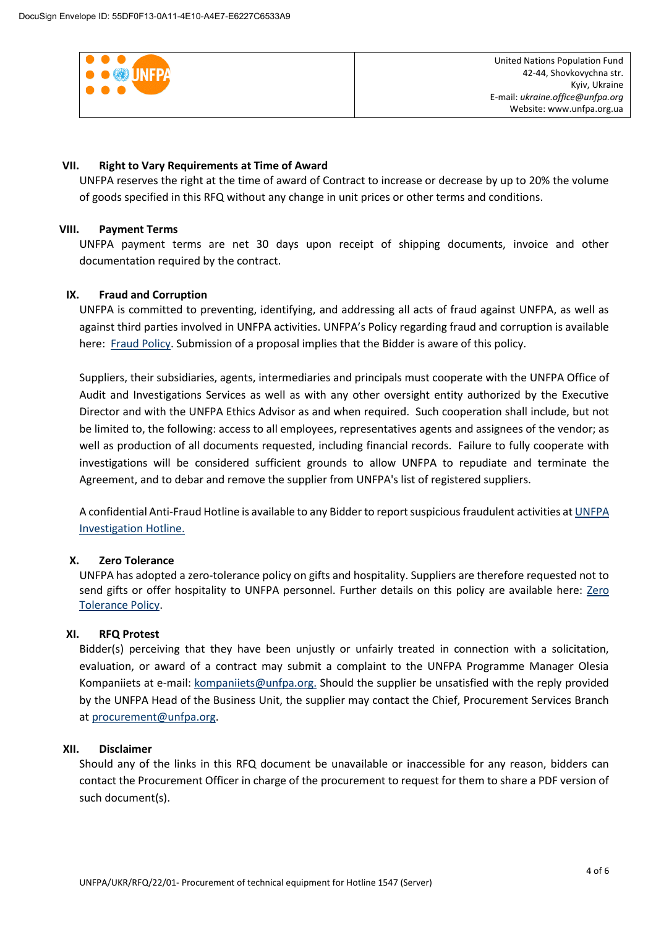

### **VII. Right to Vary Requirements at Time of Award**

UNFPA reserves the right at the time of award of Contract to increase or decrease by up to 20% the volume of goods specified in this RFQ without any change in unit prices or other terms and conditions.

### **VIII. Payment Terms**

UNFPA payment terms are net 30 days upon receipt of shipping documents, invoice and other documentation required by the contract.

### **IX. [Fraud and Corruption](http://www.unfpa.org/about-procurement#FraudCorruption)**

UNFPA is committed to preventing, identifying, and addressing all acts of fraud against UNFPA, as well as against third parties involved in UNFPA activities. UNFPA's Policy regarding fraud and corruption is available here: [Fraud Policy.](http://www.unfpa.org/resources/fraud-policy-2009#overlay-context=node/10356/draft) Submission of a proposal implies that the Bidder is aware of this policy.

Suppliers, their subsidiaries, agents, intermediaries and principals must cooperate with the UNFPA Office of Audit and Investigations Services as well as with any other oversight entity authorized by the Executive Director and with the UNFPA Ethics Advisor as and when required. Such cooperation shall include, but not be limited to, the following: access to all employees, representatives agents and assignees of the vendor; as well as production of all documents requested, including financial records. Failure to fully cooperate with investigations will be considered sufficient grounds to allow UNFPA to repudiate and terminate the Agreement, and to debar and remove the supplier from UNFPA's list of registered suppliers.

A confidential Anti-Fraud Hotline is available to any Bidder to report suspicious fraudulent activities a[t UNFPA](http://web2.unfpa.org/help/hotline.cfm)  [Investigation Hotline.](http://web2.unfpa.org/help/hotline.cfm)

#### **X. Zero Tolerance**

UNFPA has adopted a zero-tolerance policy on gifts and hospitality. Suppliers are therefore requested not to send gifts or offer hospitality to UNFPA personnel. Further details on this policy are available here: Zero [Tolerance Policy.](http://www.unfpa.org/about-procurement#ZeroTolerance)

#### **XI. RFQ Protest**

Bidder(s) perceiving that they have been unjustly or unfairly treated in connection with a solicitation, evaluation, or award of a contract may submit a complaint to the UNFPA Programme Manager Olesia Kompaniiets at e-mail: [kompaniiets@unfpa.org.](mailto:kompaniiets@unfpa.org) Should the supplier be unsatisfied with the reply provided by the UNFPA Head of the Business Unit, the supplier may contact the Chief, Procurement Services Branch a[t procurement@unfpa.org.](mailto:procurement@unfpa.org)

#### **XII. Disclaimer**

Should any of the links in this RFQ document be unavailable or inaccessible for any reason, bidders can contact the Procurement Officer in charge of the procurement to request for them to share a PDF version of such document(s).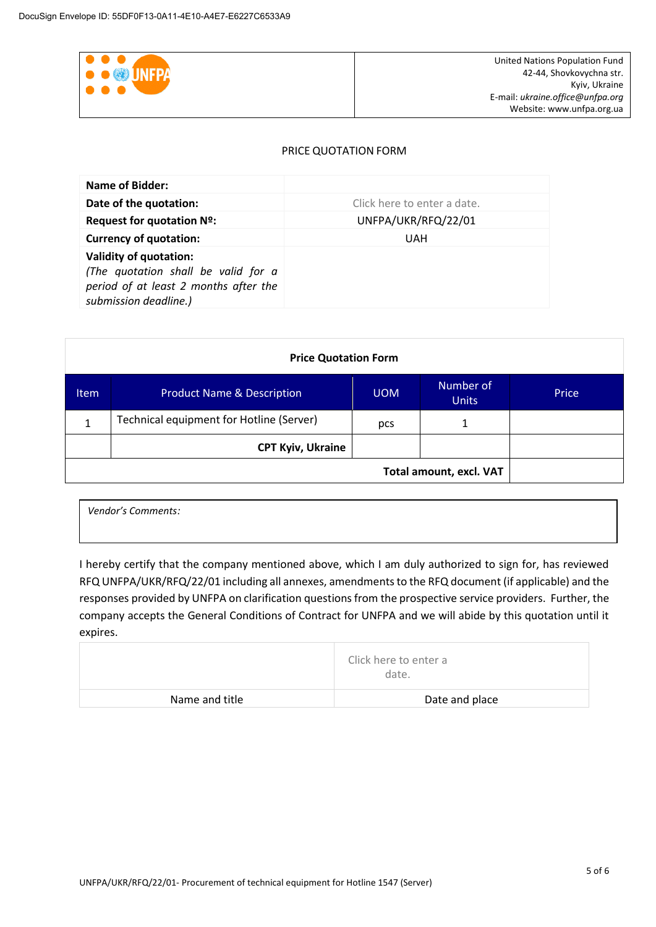

### PRICE QUOTATION FORM

| Name of Bidder:                                                                                                                        |                             |
|----------------------------------------------------------------------------------------------------------------------------------------|-----------------------------|
| Date of the quotation:                                                                                                                 | Click here to enter a date. |
| Request for quotation Nº:                                                                                                              | UNFPA/UKR/RFQ/22/01         |
| <b>Currency of quotation:</b>                                                                                                          | UAH                         |
| <b>Validity of quotation:</b><br>(The quotation shall be valid for a<br>period of at least 2 months after the<br>submission deadline.) |                             |

| <b>Price Quotation Form</b> |                                          |            |                           |       |
|-----------------------------|------------------------------------------|------------|---------------------------|-------|
| Item                        | <b>Product Name &amp; Description</b>    | <b>UOM</b> | Number of<br><b>Units</b> | Price |
| 1                           | Technical equipment for Hotline (Server) | pcs        | 1                         |       |
| <b>CPT Kyiv, Ukraine</b>    |                                          |            |                           |       |
|                             | Total amount, excl. VAT                  |            |                           |       |

| Vendor's Comments: |  |
|--------------------|--|
|                    |  |

I hereby certify that the company mentioned above, which I am duly authorized to sign for, has reviewed RFQ UNFPA/UKR/RFQ/22/01 including all annexes, amendments to the RFQ document (if applicable) and the responses provided by UNFPA on clarification questions from the prospective service providers. Further, the company accepts the General Conditions of Contract for UNFPA and we will abide by this quotation until it expires.

|                | Click here to enter a<br>date. |
|----------------|--------------------------------|
| Name and title | Date and place                 |